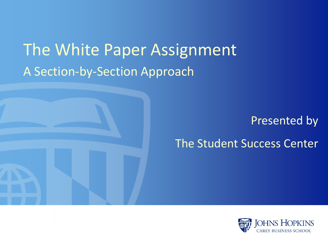## The White Paper Assignment A Section-by-Section Approach



#### Presented by The Student Success Center

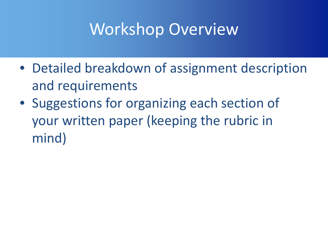## Workshop Overview

- Detailed breakdown of assignment description and requirements
- Suggestions for organizing each section of your written paper (keeping the rubric in mind)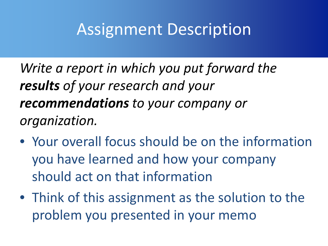*Write a report in which you put forward the results of your research and your recommendations to your company or organization.*

- Your overall focus should be on the information you have learned and how your company should act on that information
- Think of this assignment as the solution to the problem you presented in your memo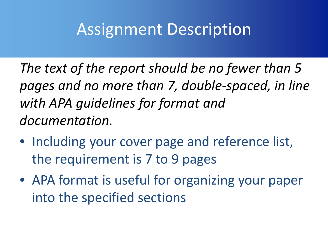*The text of the report should be no fewer than 5 pages and no more than 7, double-spaced, in line with APA guidelines for format and documentation.*

- Including your cover page and reference list, the requirement is 7 to 9 pages
- APA format is useful for organizing your paper into the specified sections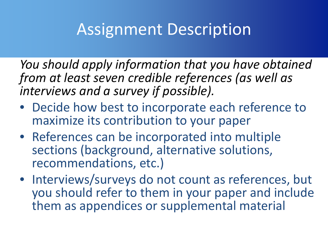*You should apply information that you have obtained from at least seven credible references (as well as interviews and a survey if possible).* 

- Decide how best to incorporate each reference to maximize its contribution to your paper
- References can be incorporated into multiple sections (background, alternative solutions, recommendations, etc.)
- Interviews/surveys do not count as references, but you should refer to them in your paper and include them as appendices or supplemental material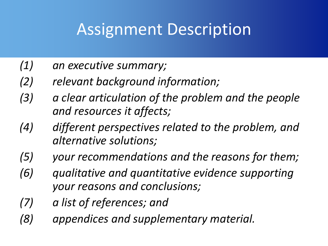- *(1) an executive summary;*
- *(2) relevant background information;*
- *(3) a clear articulation of the problem and the people and resources it affects;*
- *(4) different perspectives related to the problem, and alternative solutions;*
- *(5) your recommendations and the reasons for them;*
- *(6) qualitative and quantitative evidence supporting your reasons and conclusions;*
- *(7) a list of references; and*
- *(8) appendices and supplementary material.*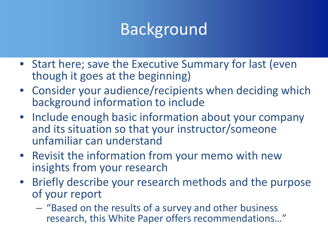# **Background**

- Start here; save the Executive Summary for last (even though it goes at the beginning)
- Consider your audience/recipients when deciding which background information to include
- Include enough basic information about your company and its situation so that your instructor/someone unfamiliar can understand
- Revisit the information from your memo with new insights from your research
- Briefly describe your research methods and the purpose of your report
	- "Based on the results of a survey and other business research, this White Paper offers recommendations…"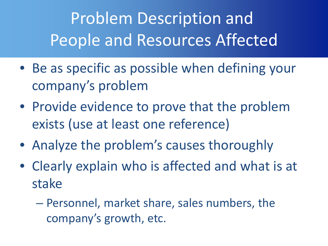Problem Description and People and Resources Affected

- Be as specific as possible when defining your company's problem
- Provide evidence to prove that the problem exists (use at least one reference)
- Analyze the problem's causes thoroughly
- Clearly explain who is affected and what is at stake
	- Personnel, market share, sales numbers, the company's growth, etc.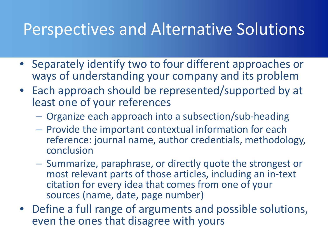## Perspectives and Alternative Solutions

- Separately identify two to four different approaches or ways of understanding your company and its problem
- Each approach should be represented/supported by at least one of your references
	- Organize each approach into a subsection/sub-heading
	- Provide the important contextual information for each reference: journal name, author credentials, methodology, conclusion
	- Summarize, paraphrase, or directly quote the strongest or most relevant parts of those articles, including an in-text citation for every idea that comes from one of your sources (name, date, page number)
- Define a full range of arguments and possible solutions, even the ones that disagree with yours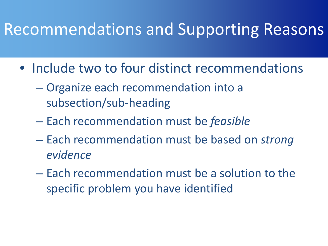### Recommendations and Supporting Reasons

- Include two to four distinct recommendations
	- Organize each recommendation into a subsection/sub-heading
	- Each recommendation must be *feasible*
	- Each recommendation must be based on *strong evidence*
	- Each recommendation must be a solution to the specific problem you have identified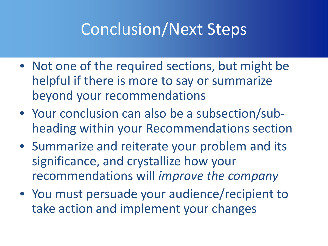# Conclusion/Next Steps

- Not one of the required sections, but might be helpful if there is more to say or summarize beyond your recommendations
- Your conclusion can also be a subsection/subheading within your Recommendations section
- Summarize and reiterate your problem and its significance, and crystallize how your recommendations will *improve the company*
- You must persuade your audience/recipient to take action and implement your changes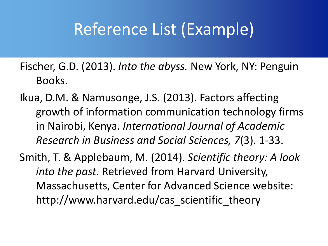## Reference List (Example)

- Fischer, G.D. (2013). *Into the abyss.* New York, NY: Penguin Books.
- Ikua, D.M. & Namusonge, J.S. (2013). Factors affecting growth of information communication technology firms in Nairobi, Kenya. *International Journal of Academic Research in Business and Social Sciences, 7*(3). 1-33.
- Smith, T. & Applebaum, M. (2014). *Scientific theory: A look into the past.* Retrieved from Harvard University, Massachusetts, Center for Advanced Science website: http://www.harvard.edu/cas\_scientific\_theory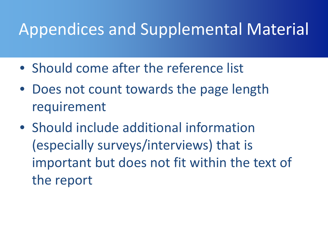# Appendices and Supplemental Material

- Should come after the reference list
- Does not count towards the page length requirement
- Should include additional information (especially surveys/interviews) that is important but does not fit within the text of the report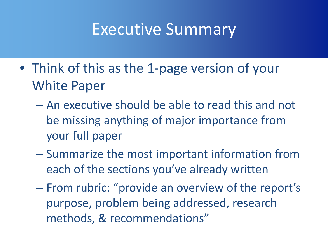#### Executive Summary

- Think of this as the 1-page version of your White Paper
	- An executive should be able to read this and not be missing anything of major importance from your full paper
	- Summarize the most important information from each of the sections you've already written
	- From rubric: "provide an overview of the report's purpose, problem being addressed, research methods, & recommendations"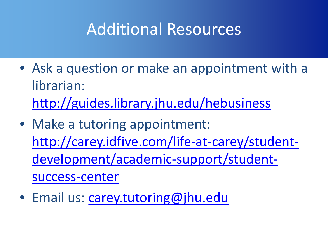## Additional Resources

- Ask a question or make an appointment with a librarian: <http://guides.library.jhu.edu/hebusiness>
- Make a tutoring appointment: [http://carey.idfive.com/life-at-carey/student](http://carey.idfive.com/life-at-carey/student-development/academic-support/student-success-center)development/academic-support/studentsuccess-center
- Email us: [carey.tutoring@jhu.edu](mailto:carey.tutoring@jhu.edu)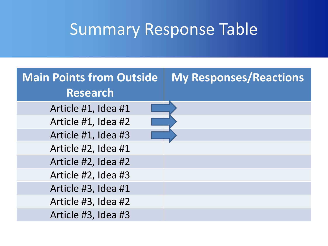# Summary Response Table

| <b>Main Points from Outside</b> | <b>My Responses/Reactions</b> |
|---------------------------------|-------------------------------|
| Research                        |                               |
| Article #1, Idea #1             |                               |
| Article #1, Idea #2             |                               |
| Article #1, Idea #3             |                               |
| Article #2, Idea #1             |                               |
| Article #2, Idea #2             |                               |
| Article #2, Idea #3             |                               |
| Article #3, Idea #1             |                               |
| Article #3, Idea #2             |                               |
| Article #3, Idea #3             |                               |